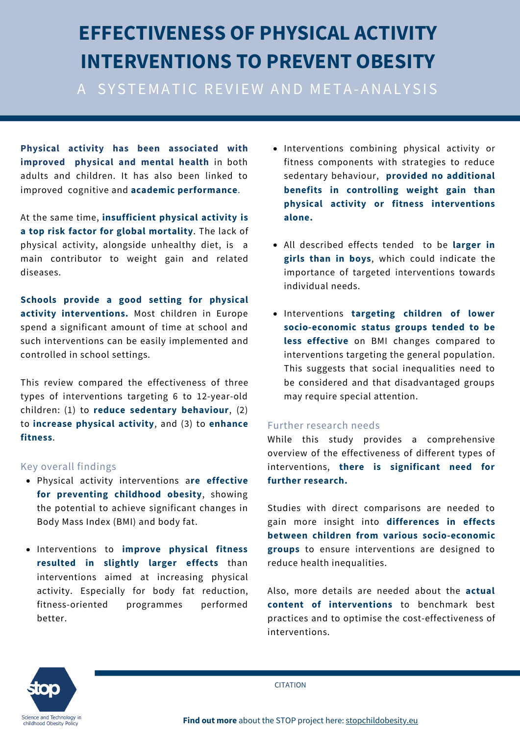# **EFFECTIVENESS OF PHYSICAL ACTIVITY INTERVENTIONS TO PREVENT OBESITY**

A SYSTEMATIC REVIEW AND META-ANALYSIS

**Physical activity has been associated with improved physical and mental health** in both adults and children. It has also been linked to improved cognitive and **academic performance**.

At the same time, **insufficient physical activity is a top risk factor for global mortality**. The lack of physical activity, alongside unhealthy diet, is a main contributor to weight gain and related diseases.

**Schools provide a good setting for physical activity interventions.** Most children in Europe spend a significant amount of time at school and such interventions can be easily implemented and controlled in school settings.

This review compared the effectiveness of three types of interventions targeting 6 to 12-year-old children: (1) to **reduce sedentary behaviour**, (2) to **increase physical activity**, and (3) to **enhance fitness**.

#### Key overall findings

- Physical activity interventions a**re effective for preventing childhood obesity**, showing the potential to achieve significant changes in Body Mass Index (BMI) and body fat.
- Interventions to **improve physical fitness resulted in slightly larger effects** than interventions aimed at increasing physical activity. Especially for body fat reduction, fitness-oriented programmes performed better.
- Interventions combining physical activity or fitness components with strategies to reduce sedentary behaviour, **provided no additional benefits in controlling weight gain than physical activity or fitness interventions alone.**
- All described effects tended to be **larger in girls than in boys**, which could indicate the importance of targeted interventions towards individual needs.
- Interventions **targeting children of lower socio-economic status groups tended to be less effective** on BMI changes compared to interventions targeting the general population. This suggests that social inequalities need to be considered and that disadvantaged groups may require special attention.

#### Further research needs

While this study provides a comprehensive overview of the effectiveness of different types of interventions, **there is significant need for further research.**

Studies with direct comparisons are needed to gain more insight into **differences in effects between children from various socio-economic groups** to ensure interventions are designed to reduce health inequalities.

Also, more details are needed about the **actual content of interventions** to benchmark best practices and to optimise the cost-effectiveness of interventions.